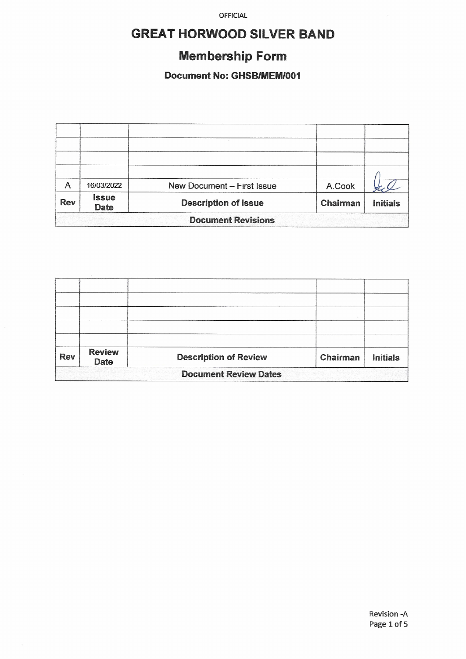# **GREAT HORWOOD SILVER BAND**

# **Membership Form**

### Document No: GHSB/MEM/001

| Α                         | 16/03/2022                  | New Document - First Issue  | A.Cook   |                 |
|---------------------------|-----------------------------|-----------------------------|----------|-----------------|
| <b>Rev</b>                | <b>Issue</b><br><b>Date</b> | <b>Description of Issue</b> | Chairman | <b>Initials</b> |
| <b>Document Revisions</b> |                             |                             |          |                 |

| Rev | <b>Review</b><br><b>Date</b> | <b>Description of Review</b> | Chairman | <b>Initials</b> |
|-----|------------------------------|------------------------------|----------|-----------------|
|     |                              | <b>Document Review Dates</b> |          |                 |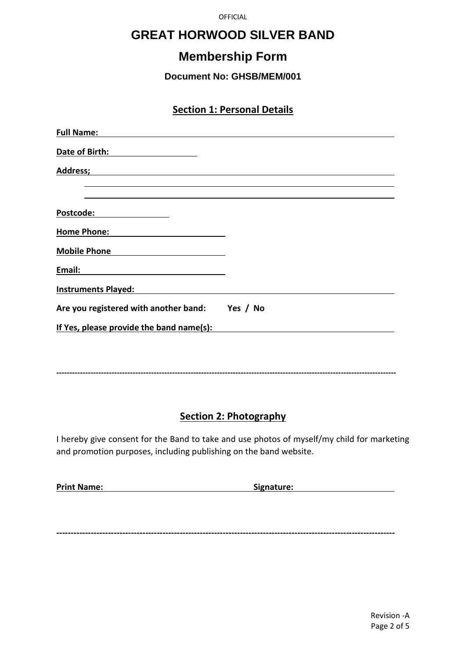## **GREAT HORWOOD SILVER BAND**

## **Membership Form**

**Document No: GHSB/MEM/001**

### **Section 1: Personal Details**

| <b>Full Name:</b>                              |  |
|------------------------------------------------|--|
| Date of Birth:                                 |  |
| Address;                                       |  |
|                                                |  |
| Postcode:                                      |  |
| <b>Home Phone:</b>                             |  |
| <b>Mobile Phone</b>                            |  |
| Email:                                         |  |
| <b>Instruments Played:</b>                     |  |
| Are you registered with another band: Yes / No |  |
| If Yes, please provide the band name(s):       |  |
|                                                |  |

### **Section 2: Photography**

**---------------------------------------------------------------------------------------------------------------------------------**

I hereby give consent for the Band to take and use photos of myself/my child for marketing and promotion purposes, including publishing on the band website.

**Print Name: Signature:**

**----------------------------------------------------------------------------------------------------------------------**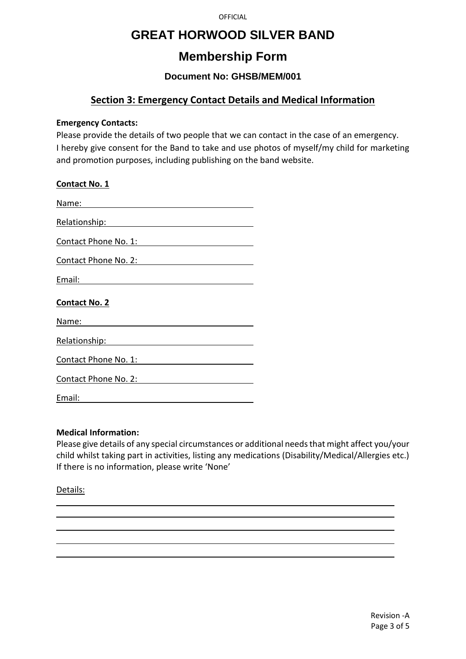## **GREAT HORWOOD SILVER BAND**

## **Membership Form**

### **Document No: GHSB/MEM/001**

### **Section 3: Emergency Contact Details and Medical Information**

#### **Emergency Contacts:**

Please provide the details of two people that we can contact in the case of an emergency. I hereby give consent for the Band to take and use photos of myself/my child for marketing and promotion purposes, including publishing on the band website.

| <b>Contact No. 1</b> |  |  |
|----------------------|--|--|
| Name:                |  |  |
| Relationship:        |  |  |
| Contact Phone No. 1: |  |  |
| Contact Phone No. 2: |  |  |
| Email:               |  |  |
| <b>Contact No. 2</b> |  |  |
| Name:                |  |  |
| Relationship:        |  |  |
| Contact Phone No. 1: |  |  |
| Contact Phone No. 2: |  |  |
| Email:               |  |  |

#### **Medical Information:**

Please give details of any special circumstances or additional needs that might affect you/your child whilst taking part in activities, listing any medications (Disability/Medical/Allergies etc.) If there is no information, please write 'None'

#### Details: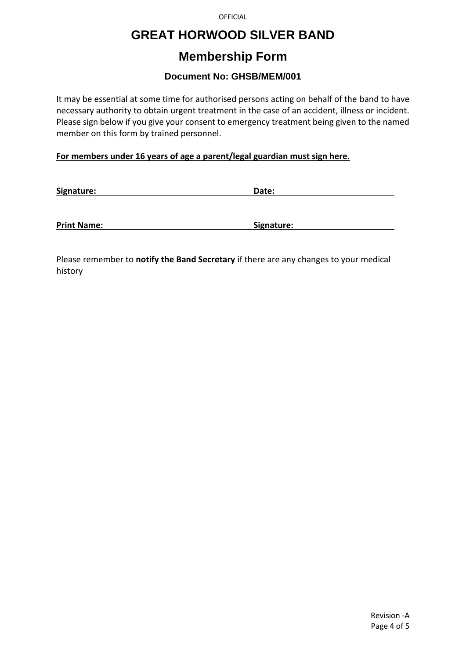## **GREAT HORWOOD SILVER BAND**

## **Membership Form**

### **Document No: GHSB/MEM/001**

It may be essential at some time for authorised persons acting on behalf of the band to have necessary authority to obtain urgent treatment in the case of an accident, illness or incident. Please sign below if you give your consent to emergency treatment being given to the named member on this form by trained personnel.

#### **For members under 16 years of age a parent/legal guardian must sign here.**

**Signature: Date:**

**Print Name: Signature:**

Please remember to **notify the Band Secretary** if there are any changes to your medical history